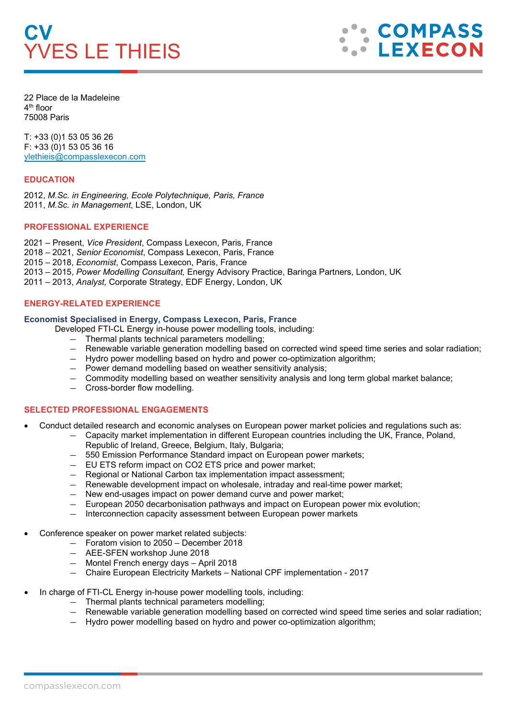# **CV** YVES LE THIEIS

**COMPASS LEXECON** 

22 Place de la Madeleine 4<sup>th</sup> floor 75008 Paris

T: +33 (0)1 53 05 36 26 F: +33 (0)1 53 05 36 16 [ylethieis@compasslexecon.com](mailto:ylethieis@compasslexecon.com)

# **EDUCATION**

2012, *M.Sc. in Engineering, Ecole Polytechnique, Paris, France* 2011, *M.Sc. in Management*, LSE, London, UK

## **PROFESSIONAL EXPERIENCE**

 – Present, *Vice President*, Compass Lexecon, Paris, France – 2021, *Senior Economist*, Compass Lexecon, Paris, France – 2018, *Economist*, Compass Lexecon, Paris, France – 2015, *Power Modelling Consultant,* Energy Advisory Practice, Baringa Partners, London, UK – 2013, *Analyst,* Corporate Strategy*,* EDF Energy, London, UK

## **ENERGY-RELATED EXPERIENCE**

#### **Economist Specialised in Energy, Compass Lexecon, Paris, France**

Developed FTI-CL Energy in-house power modelling tools, including:

- ― Thermal plants technical parameters modelling;
- ― Renewable variable generation modelling based on corrected wind speed time series and solar radiation;
- ― Hydro power modelling based on hydro and power co-optimization algorithm;
- ― Power demand modelling based on weather sensitivity analysis;
- ― Commodity modelling based on weather sensitivity analysis and long term global market balance;
- ― Cross-border flow modelling.

# **SELECTED PROFESSIONAL ENGAGEMENTS**

- Conduct detailed research and economic analyses on European power market policies and regulations such as:
	- ― Capacity market implementation in different European countries including the UK, France, Poland, Republic of Ireland, Greece, Belgium, Italy, Bulgaria;
	- 550 Emission Performance Standard impact on European power markets;
	- ― EU ETS reform impact on CO2 ETS price and power market;
	- ― Regional or National Carbon tax implementation impact assessment;
	- ― Renewable development impact on wholesale, intraday and real-time power market;
	- ― New end-usages impact on power demand curve and power market;
	- ― European 2050 decarbonisation pathways and impact on European power mix evolution;
	- ― Interconnection capacity assessment between European power markets
- Conference speaker on power market related subjects:
	- ― Foratom vision to 2050 December 2018
	- ― AEE-SFEN workshop June 2018
	- ― Montel French energy days April 2018
	- ― Chaire European Electricity Markets National CPF implementation 2017
- In charge of FTI-CL Energy in-house power modelling tools, including:
	- ― Thermal plants technical parameters modelling;
	- ― Renewable variable generation modelling based on corrected wind speed time series and solar radiation;
	- ― Hydro power modelling based on hydro and power co-optimization algorithm;